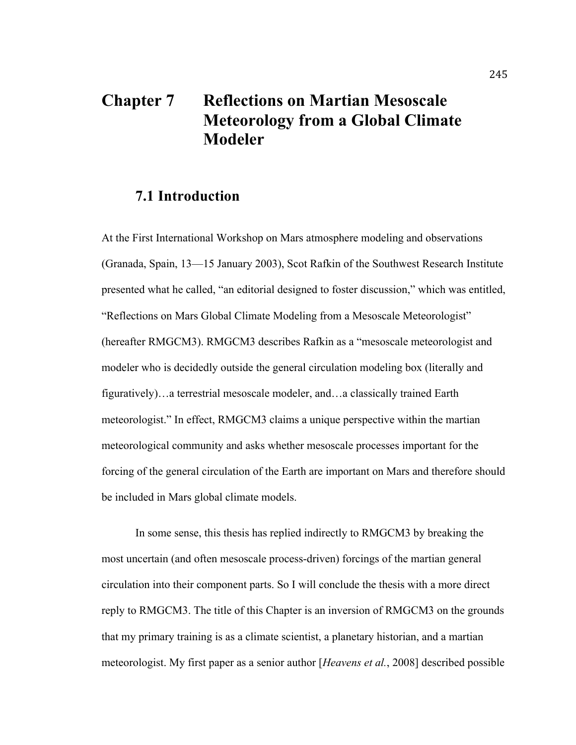# **Chapter 7 Reflections on Martian Mesoscale Meteorology from a Global Climate Modeler**

### **7.1 Introduction**

At the First International Workshop on Mars atmosphere modeling and observations (Granada, Spain, 13—15 January 2003), Scot Rafkin of the Southwest Research Institute presented what he called, "an editorial designed to foster discussion," which was entitled, "Reflections on Mars Global Climate Modeling from a Mesoscale Meteorologist" (hereafter RMGCM3). RMGCM3 describes Rafkin as a "mesoscale meteorologist and modeler who is decidedly outside the general circulation modeling box (literally and figuratively)…a terrestrial mesoscale modeler, and…a classically trained Earth meteorologist." In effect, RMGCM3 claims a unique perspective within the martian meteorological community and asks whether mesoscale processes important for the forcing of the general circulation of the Earth are important on Mars and therefore should be included in Mars global climate models.

In some sense, this thesis has replied indirectly to RMGCM3 by breaking the most uncertain (and often mesoscale process-driven) forcings of the martian general circulation into their component parts. So I will conclude the thesis with a more direct reply to RMGCM3. The title of this Chapter is an inversion of RMGCM3 on the grounds that my primary training is as a climate scientist, a planetary historian, and a martian meteorologist. My first paper as a senior author [*Heavens et al.*, 2008] described possible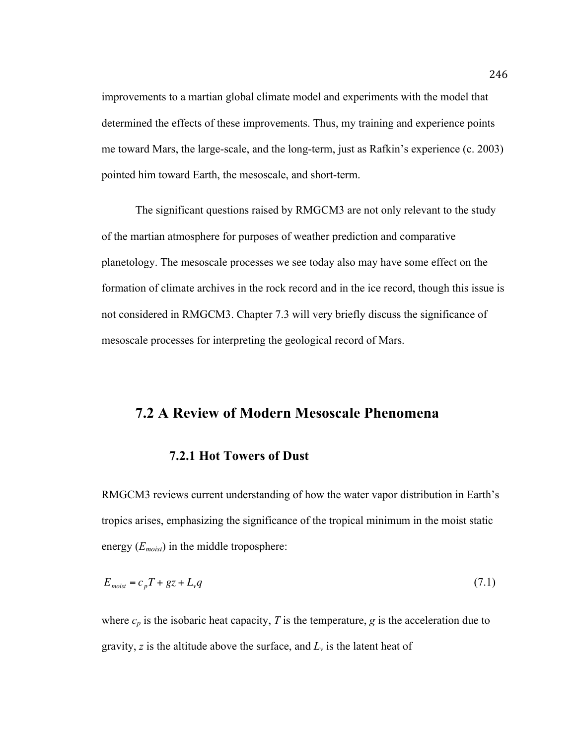improvements to a martian global climate model and experiments with the model that determined the effects of these improvements. Thus, my training and experience points me toward Mars, the large-scale, and the long-term, just as Rafkin's experience (c. 2003) pointed him toward Earth, the mesoscale, and short-term.

The significant questions raised by RMGCM3 are not only relevant to the study of the martian atmosphere for purposes of weather prediction and comparative planetology. The mesoscale processes we see today also may have some effect on the formation of climate archives in the rock record and in the ice record, though this issue is not considered in RMGCM3. Chapter 7.3 will very briefly discuss the significance of mesoscale processes for interpreting the geological record of Mars.

# **7.2 A Review of Modern Mesoscale Phenomena**

#### **7.2.1 Hot Towers of Dust**

RMGCM3 reviews current understanding of how the water vapor distribution in Earth's tropics arises, emphasizing the significance of the tropical minimum in the moist static energy (*Emoist*) in the middle troposphere:

$$
E_{\text{moist}} = c_p T + gz + L_v q \tag{7.1}
$$

where  $c_p$  is the isobaric heat capacity,  $T$  is the temperature,  $g$  is the acceleration due to gravity,  $z$  is the altitude above the surface, and  $L<sub>v</sub>$  is the latent heat of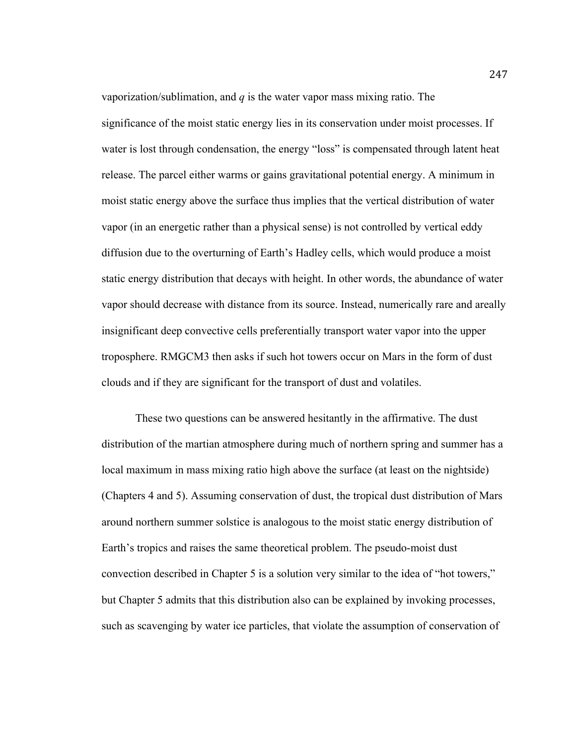vaporization/sublimation, and *q* is the water vapor mass mixing ratio. The significance of the moist static energy lies in its conservation under moist processes. If water is lost through condensation, the energy "loss" is compensated through latent heat release. The parcel either warms or gains gravitational potential energy. A minimum in moist static energy above the surface thus implies that the vertical distribution of water vapor (in an energetic rather than a physical sense) is not controlled by vertical eddy diffusion due to the overturning of Earth's Hadley cells, which would produce a moist static energy distribution that decays with height. In other words, the abundance of water vapor should decrease with distance from its source. Instead, numerically rare and areally insignificant deep convective cells preferentially transport water vapor into the upper troposphere. RMGCM3 then asks if such hot towers occur on Mars in the form of dust clouds and if they are significant for the transport of dust and volatiles.

These two questions can be answered hesitantly in the affirmative. The dust distribution of the martian atmosphere during much of northern spring and summer has a local maximum in mass mixing ratio high above the surface (at least on the nightside) (Chapters 4 and 5). Assuming conservation of dust, the tropical dust distribution of Mars around northern summer solstice is analogous to the moist static energy distribution of Earth's tropics and raises the same theoretical problem. The pseudo-moist dust convection described in Chapter 5 is a solution very similar to the idea of "hot towers," but Chapter 5 admits that this distribution also can be explained by invoking processes, such as scavenging by water ice particles, that violate the assumption of conservation of

247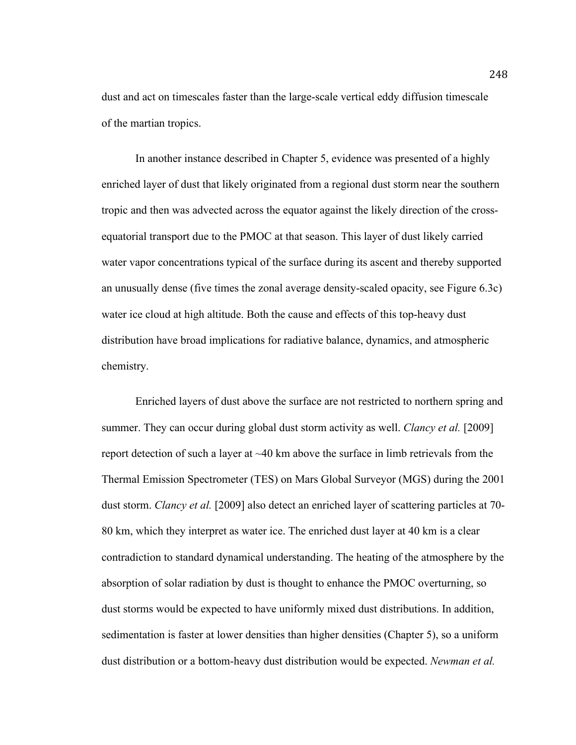dust and act on timescales faster than the large-scale vertical eddy diffusion timescale of the martian tropics.

In another instance described in Chapter 5, evidence was presented of a highly enriched layer of dust that likely originated from a regional dust storm near the southern tropic and then was advected across the equator against the likely direction of the crossequatorial transport due to the PMOC at that season. This layer of dust likely carried water vapor concentrations typical of the surface during its ascent and thereby supported an unusually dense (five times the zonal average density-scaled opacity, see Figure 6.3c) water ice cloud at high altitude. Both the cause and effects of this top-heavy dust distribution have broad implications for radiative balance, dynamics, and atmospheric chemistry.

Enriched layers of dust above the surface are not restricted to northern spring and summer. They can occur during global dust storm activity as well. *Clancy et al.* [2009] report detection of such a layer at  $\sim$ 40 km above the surface in limb retrievals from the Thermal Emission Spectrometer (TES) on Mars Global Surveyor (MGS) during the 2001 dust storm. *Clancy et al.* [2009] also detect an enriched layer of scattering particles at 70- 80 km, which they interpret as water ice. The enriched dust layer at 40 km is a clear contradiction to standard dynamical understanding. The heating of the atmosphere by the absorption of solar radiation by dust is thought to enhance the PMOC overturning, so dust storms would be expected to have uniformly mixed dust distributions. In addition, sedimentation is faster at lower densities than higher densities (Chapter 5), so a uniform dust distribution or a bottom-heavy dust distribution would be expected. *Newman et al.*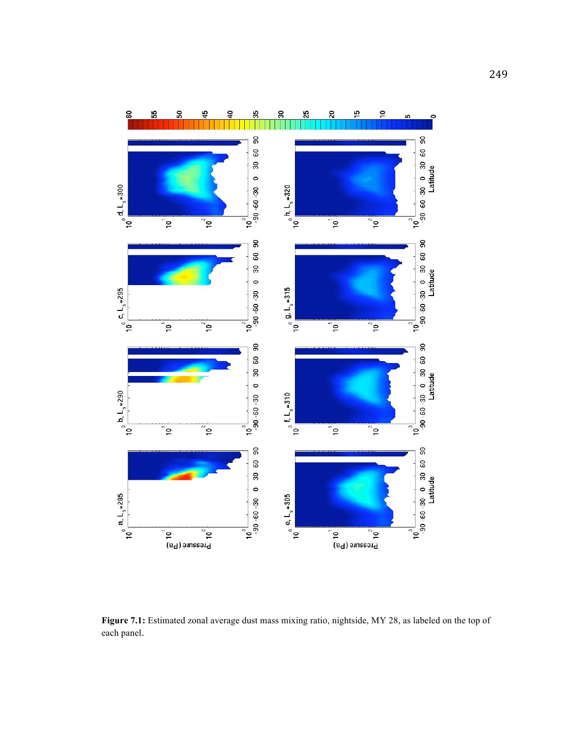

**Figure 7.1:** Estimated zonal average dust mass mixing ratio, nightside, MY 28, as labeled on the top of each panel.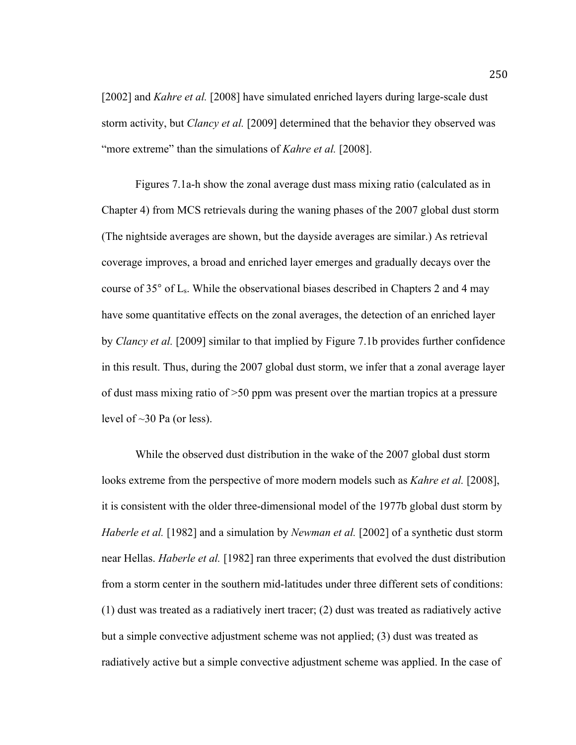[2002] and *Kahre et al.* [2008] have simulated enriched layers during large-scale dust storm activity, but *Clancy et al.* [2009] determined that the behavior they observed was "more extreme" than the simulations of *Kahre et al.* [2008].

Figures 7.1a-h show the zonal average dust mass mixing ratio (calculated as in Chapter 4) from MCS retrievals during the waning phases of the 2007 global dust storm (The nightside averages are shown, but the dayside averages are similar.) As retrieval coverage improves, a broad and enriched layer emerges and gradually decays over the course of 35° of Ls. While the observational biases described in Chapters 2 and 4 may have some quantitative effects on the zonal averages, the detection of an enriched layer by *Clancy et al.* [2009] similar to that implied by Figure 7.1b provides further confidence in this result. Thus, during the 2007 global dust storm, we infer that a zonal average layer of dust mass mixing ratio of >50 ppm was present over the martian tropics at a pressure level of ~30 Pa (or less).

While the observed dust distribution in the wake of the 2007 global dust storm looks extreme from the perspective of more modern models such as *Kahre et al.* [2008], it is consistent with the older three-dimensional model of the 1977b global dust storm by *Haberle et al.* [1982] and a simulation by *Newman et al.* [2002] of a synthetic dust storm near Hellas. *Haberle et al.* [1982] ran three experiments that evolved the dust distribution from a storm center in the southern mid-latitudes under three different sets of conditions: (1) dust was treated as a radiatively inert tracer; (2) dust was treated as radiatively active but a simple convective adjustment scheme was not applied; (3) dust was treated as radiatively active but a simple convective adjustment scheme was applied. In the case of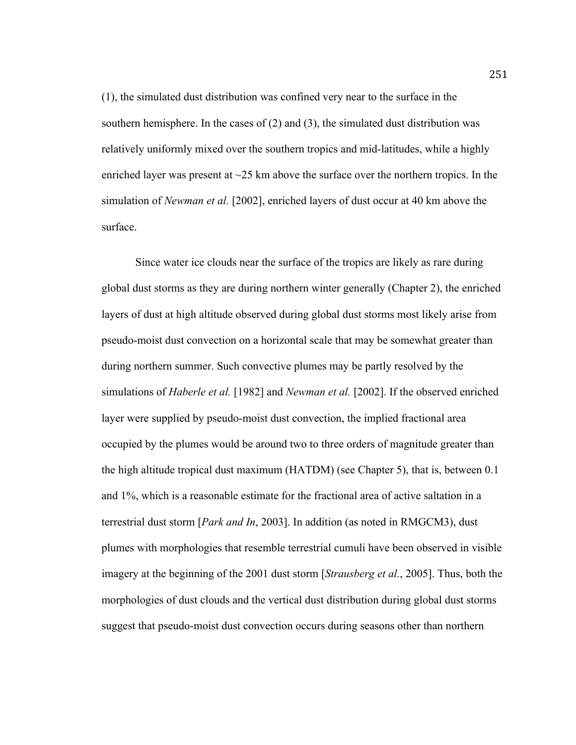(1), the simulated dust distribution was confined very near to the surface in the southern hemisphere. In the cases of  $(2)$  and  $(3)$ , the simulated dust distribution was relatively uniformly mixed over the southern tropics and mid-latitudes, while a highly enriched layer was present at  $\sim$ 25 km above the surface over the northern tropics. In the simulation of *Newman et al.* [2002], enriched layers of dust occur at 40 km above the surface.

Since water ice clouds near the surface of the tropics are likely as rare during global dust storms as they are during northern winter generally (Chapter 2), the enriched layers of dust at high altitude observed during global dust storms most likely arise from pseudo-moist dust convection on a horizontal scale that may be somewhat greater than during northern summer. Such convective plumes may be partly resolved by the simulations of *Haberle et al.* [1982] and *Newman et al.* [2002]. If the observed enriched layer were supplied by pseudo-moist dust convection, the implied fractional area occupied by the plumes would be around two to three orders of magnitude greater than the high altitude tropical dust maximum (HATDM) (see Chapter 5), that is, between 0.1 and 1%, which is a reasonable estimate for the fractional area of active saltation in a terrestrial dust storm [*Park and In*, 2003]. In addition (as noted in RMGCM3), dust plumes with morphologies that resemble terrestrial cumuli have been observed in visible imagery at the beginning of the 2001 dust storm [*Strausberg et al.*, 2005]. Thus, both the morphologies of dust clouds and the vertical dust distribution during global dust storms suggest that pseudo-moist dust convection occurs during seasons other than northern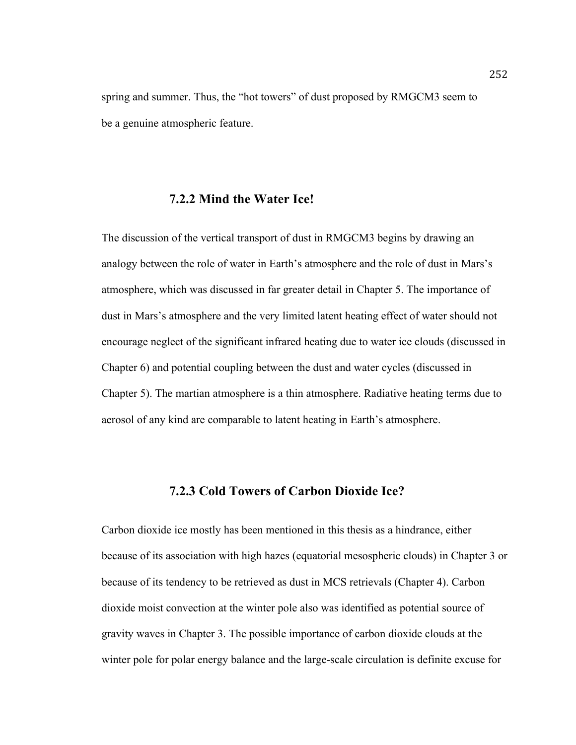spring and summer. Thus, the "hot towers" of dust proposed by RMGCM3 seem to be a genuine atmospheric feature.

#### **7.2.2 Mind the Water Ice!**

The discussion of the vertical transport of dust in RMGCM3 begins by drawing an analogy between the role of water in Earth's atmosphere and the role of dust in Mars's atmosphere, which was discussed in far greater detail in Chapter 5. The importance of dust in Mars's atmosphere and the very limited latent heating effect of water should not encourage neglect of the significant infrared heating due to water ice clouds (discussed in Chapter 6) and potential coupling between the dust and water cycles (discussed in Chapter 5). The martian atmosphere is a thin atmosphere. Radiative heating terms due to aerosol of any kind are comparable to latent heating in Earth's atmosphere.

#### **7.2.3 Cold Towers of Carbon Dioxide Ice?**

Carbon dioxide ice mostly has been mentioned in this thesis as a hindrance, either because of its association with high hazes (equatorial mesospheric clouds) in Chapter 3 or because of its tendency to be retrieved as dust in MCS retrievals (Chapter 4). Carbon dioxide moist convection at the winter pole also was identified as potential source of gravity waves in Chapter 3. The possible importance of carbon dioxide clouds at the winter pole for polar energy balance and the large-scale circulation is definite excuse for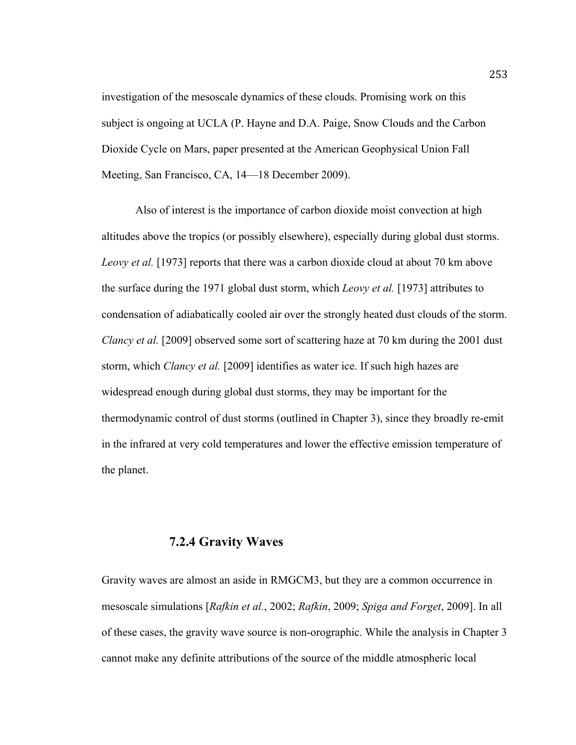investigation of the mesoscale dynamics of these clouds. Promising work on this subject is ongoing at UCLA (P. Hayne and D.A. Paige, Snow Clouds and the Carbon Dioxide Cycle on Mars, paper presented at the American Geophysical Union Fall Meeting, San Francisco, CA, 14—18 December 2009).

Also of interest is the importance of carbon dioxide moist convection at high altitudes above the tropics (or possibly elsewhere), especially during global dust storms. *Leovy et al.* [1973] reports that there was a carbon dioxide cloud at about 70 km above the surface during the 1971 global dust storm, which *Leovy et al.* [1973] attributes to condensation of adiabatically cooled air over the strongly heated dust clouds of the storm. *Clancy et al.* [2009] observed some sort of scattering haze at 70 km during the 2001 dust storm, which *Clancy et al.* [2009] identifies as water ice. If such high hazes are widespread enough during global dust storms, they may be important for the thermodynamic control of dust storms (outlined in Chapter 3), since they broadly re-emit in the infrared at very cold temperatures and lower the effective emission temperature of the planet.

#### **7.2.4 Gravity Waves**

Gravity waves are almost an aside in RMGCM3, but they are a common occurrence in mesoscale simulations [*Rafkin et al.*, 2002; *Rafkin*, 2009; *Spiga and Forget*, 2009]. In all of these cases, the gravity wave source is non-orographic. While the analysis in Chapter 3 cannot make any definite attributions of the source of the middle atmospheric local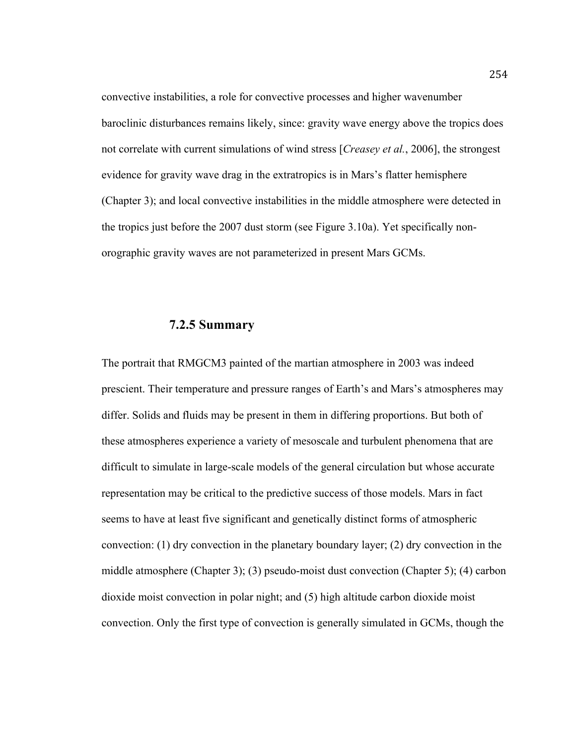convective instabilities, a role for convective processes and higher wavenumber baroclinic disturbances remains likely, since: gravity wave energy above the tropics does not correlate with current simulations of wind stress [*Creasey et al.*, 2006], the strongest evidence for gravity wave drag in the extratropics is in Mars's flatter hemisphere (Chapter 3); and local convective instabilities in the middle atmosphere were detected in the tropics just before the 2007 dust storm (see Figure 3.10a). Yet specifically nonorographic gravity waves are not parameterized in present Mars GCMs.

### **7.2.5 Summary**

The portrait that RMGCM3 painted of the martian atmosphere in 2003 was indeed prescient. Their temperature and pressure ranges of Earth's and Mars's atmospheres may differ. Solids and fluids may be present in them in differing proportions. But both of these atmospheres experience a variety of mesoscale and turbulent phenomena that are difficult to simulate in large-scale models of the general circulation but whose accurate representation may be critical to the predictive success of those models. Mars in fact seems to have at least five significant and genetically distinct forms of atmospheric convection: (1) dry convection in the planetary boundary layer; (2) dry convection in the middle atmosphere (Chapter 3); (3) pseudo-moist dust convection (Chapter 5); (4) carbon dioxide moist convection in polar night; and (5) high altitude carbon dioxide moist convection. Only the first type of convection is generally simulated in GCMs, though the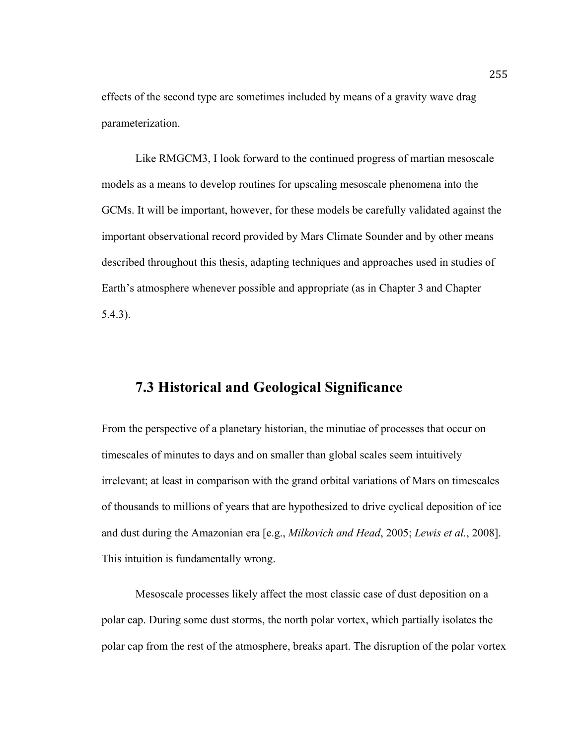effects of the second type are sometimes included by means of a gravity wave drag parameterization.

Like RMGCM3, I look forward to the continued progress of martian mesoscale models as a means to develop routines for upscaling mesoscale phenomena into the GCMs. It will be important, however, for these models be carefully validated against the important observational record provided by Mars Climate Sounder and by other means described throughout this thesis, adapting techniques and approaches used in studies of Earth's atmosphere whenever possible and appropriate (as in Chapter 3 and Chapter 5.4.3).

# **7.3 Historical and Geological Significance**

From the perspective of a planetary historian, the minutiae of processes that occur on timescales of minutes to days and on smaller than global scales seem intuitively irrelevant; at least in comparison with the grand orbital variations of Mars on timescales of thousands to millions of years that are hypothesized to drive cyclical deposition of ice and dust during the Amazonian era [e.g., *Milkovich and Head*, 2005; *Lewis et al.*, 2008]. This intuition is fundamentally wrong.

Mesoscale processes likely affect the most classic case of dust deposition on a polar cap. During some dust storms, the north polar vortex, which partially isolates the polar cap from the rest of the atmosphere, breaks apart. The disruption of the polar vortex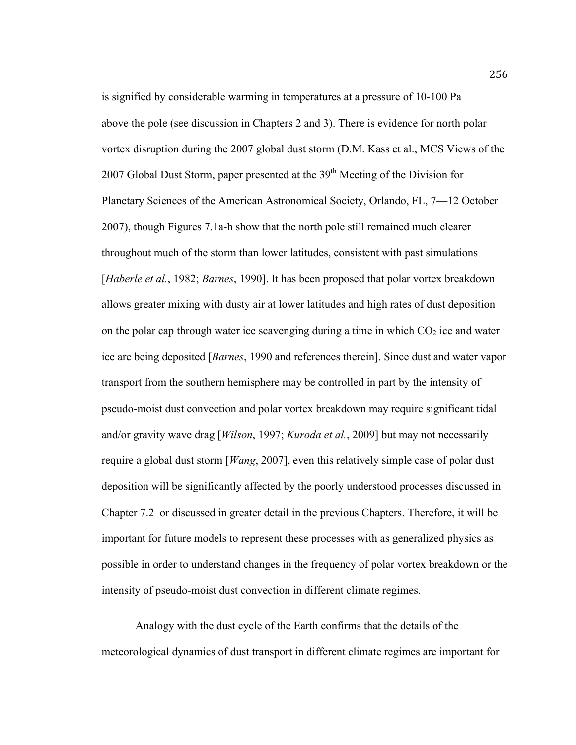is signified by considerable warming in temperatures at a pressure of 10-100 Pa above the pole (see discussion in Chapters 2 and 3). There is evidence for north polar vortex disruption during the 2007 global dust storm (D.M. Kass et al., MCS Views of the 2007 Global Dust Storm, paper presented at the  $39<sup>th</sup>$  Meeting of the Division for Planetary Sciences of the American Astronomical Society, Orlando, FL, 7—12 October 2007), though Figures 7.1a-h show that the north pole still remained much clearer throughout much of the storm than lower latitudes, consistent with past simulations [*Haberle et al.*, 1982; *Barnes*, 1990]. It has been proposed that polar vortex breakdown allows greater mixing with dusty air at lower latitudes and high rates of dust deposition on the polar cap through water ice scavenging during a time in which  $CO<sub>2</sub>$  ice and water ice are being deposited [*Barnes*, 1990 and references therein]. Since dust and water vapor transport from the southern hemisphere may be controlled in part by the intensity of pseudo-moist dust convection and polar vortex breakdown may require significant tidal and/or gravity wave drag [*Wilson*, 1997; *Kuroda et al.*, 2009] but may not necessarily require a global dust storm [*Wang*, 2007], even this relatively simple case of polar dust deposition will be significantly affected by the poorly understood processes discussed in Chapter 7.2 or discussed in greater detail in the previous Chapters. Therefore, it will be important for future models to represent these processes with as generalized physics as possible in order to understand changes in the frequency of polar vortex breakdown or the intensity of pseudo-moist dust convection in different climate regimes.

Analogy with the dust cycle of the Earth confirms that the details of the meteorological dynamics of dust transport in different climate regimes are important for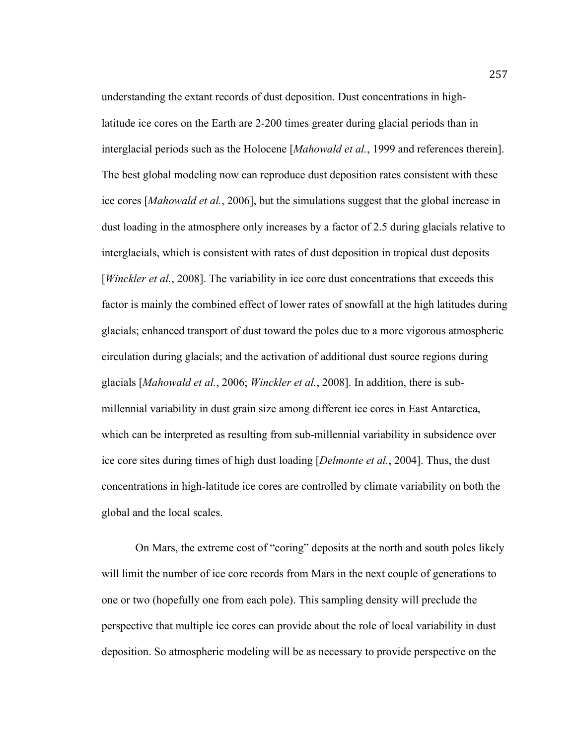understanding the extant records of dust deposition. Dust concentrations in highlatitude ice cores on the Earth are 2-200 times greater during glacial periods than in interglacial periods such as the Holocene [*Mahowald et al.*, 1999 and references therein]. The best global modeling now can reproduce dust deposition rates consistent with these ice cores [*Mahowald et al.*, 2006], but the simulations suggest that the global increase in dust loading in the atmosphere only increases by a factor of 2.5 during glacials relative to interglacials, which is consistent with rates of dust deposition in tropical dust deposits [*Winckler et al.*, 2008]. The variability in ice core dust concentrations that exceeds this factor is mainly the combined effect of lower rates of snowfall at the high latitudes during glacials; enhanced transport of dust toward the poles due to a more vigorous atmospheric circulation during glacials; and the activation of additional dust source regions during glacials [*Mahowald et al.*, 2006; *Winckler et al.*, 2008]. In addition, there is submillennial variability in dust grain size among different ice cores in East Antarctica, which can be interpreted as resulting from sub-millennial variability in subsidence over ice core sites during times of high dust loading [*Delmonte et al.*, 2004]. Thus, the dust concentrations in high-latitude ice cores are controlled by climate variability on both the global and the local scales.

On Mars, the extreme cost of "coring" deposits at the north and south poles likely will limit the number of ice core records from Mars in the next couple of generations to one or two (hopefully one from each pole). This sampling density will preclude the perspective that multiple ice cores can provide about the role of local variability in dust deposition. So atmospheric modeling will be as necessary to provide perspective on the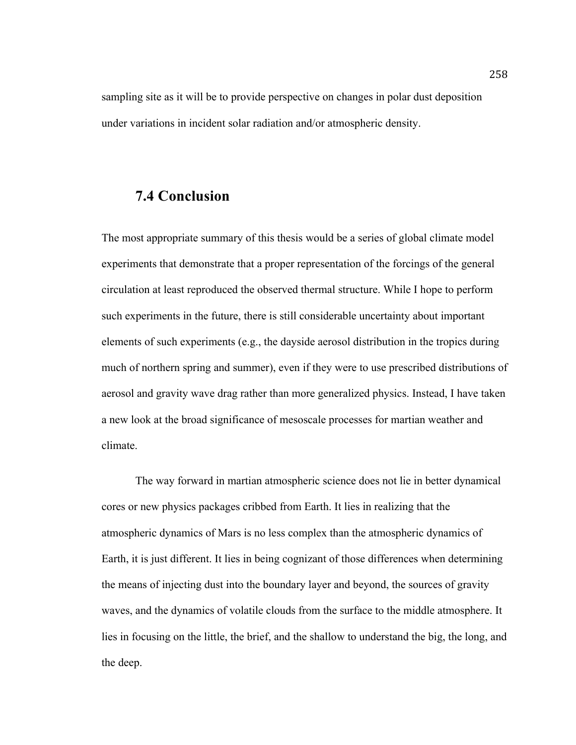sampling site as it will be to provide perspective on changes in polar dust deposition under variations in incident solar radiation and/or atmospheric density.

# **7.4 Conclusion**

The most appropriate summary of this thesis would be a series of global climate model experiments that demonstrate that a proper representation of the forcings of the general circulation at least reproduced the observed thermal structure. While I hope to perform such experiments in the future, there is still considerable uncertainty about important elements of such experiments (e.g., the dayside aerosol distribution in the tropics during much of northern spring and summer), even if they were to use prescribed distributions of aerosol and gravity wave drag rather than more generalized physics. Instead, I have taken a new look at the broad significance of mesoscale processes for martian weather and climate.

The way forward in martian atmospheric science does not lie in better dynamical cores or new physics packages cribbed from Earth. It lies in realizing that the atmospheric dynamics of Mars is no less complex than the atmospheric dynamics of Earth, it is just different. It lies in being cognizant of those differences when determining the means of injecting dust into the boundary layer and beyond, the sources of gravity waves, and the dynamics of volatile clouds from the surface to the middle atmosphere. It lies in focusing on the little, the brief, and the shallow to understand the big, the long, and the deep.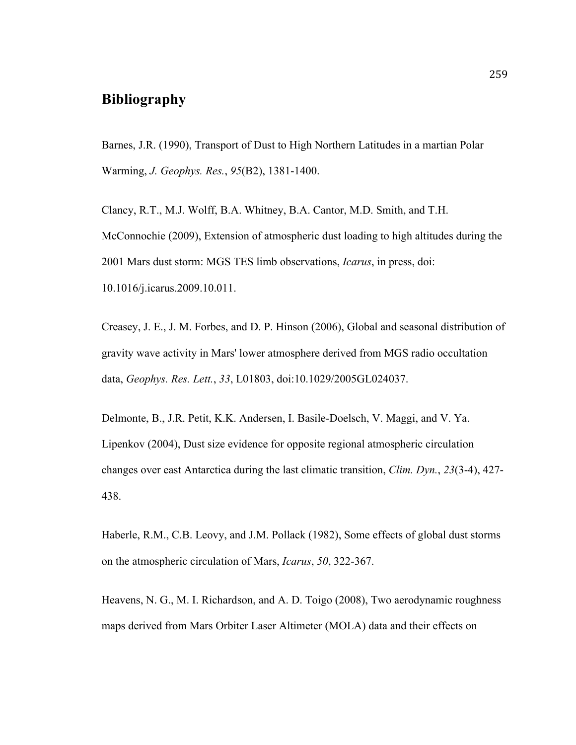# **Bibliography**

Barnes, J.R. (1990), Transport of Dust to High Northern Latitudes in a martian Polar Warming, *J. Geophys. Res.*, *95*(B2), 1381-1400.

Clancy, R.T., M.J. Wolff, B.A. Whitney, B.A. Cantor, M.D. Smith, and T.H. McConnochie (2009), Extension of atmospheric dust loading to high altitudes during the 2001 Mars dust storm: MGS TES limb observations, *Icarus*, in press, doi: 10.1016/j.icarus.2009.10.011.

Creasey, J. E., J. M. Forbes, and D. P. Hinson (2006), Global and seasonal distribution of gravity wave activity in Mars' lower atmosphere derived from MGS radio occultation data, *Geophys. Res. Lett.*, *33*, L01803, doi:10.1029/2005GL024037.

Delmonte, B., J.R. Petit, K.K. Andersen, I. Basile-Doelsch, V. Maggi, and V. Ya. Lipenkov (2004), Dust size evidence for opposite regional atmospheric circulation changes over east Antarctica during the last climatic transition, *Clim. Dyn.*, *23*(3-4), 427- 438.

Haberle, R.M., C.B. Leovy, and J.M. Pollack (1982), Some effects of global dust storms on the atmospheric circulation of Mars, *Icarus*, *50*, 322-367.

Heavens, N. G., M. I. Richardson, and A. D. Toigo (2008), Two aerodynamic roughness maps derived from Mars Orbiter Laser Altimeter (MOLA) data and their effects on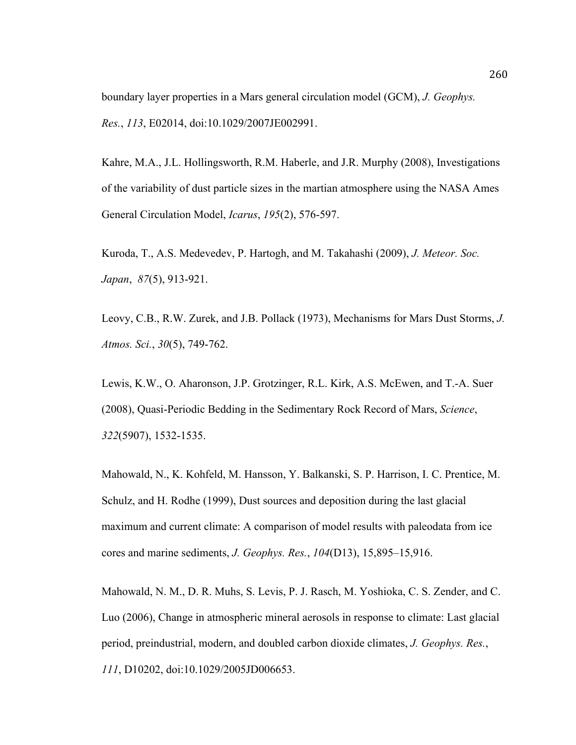boundary layer properties in a Mars general circulation model (GCM), *J. Geophys. Res.*, *113*, E02014, doi:10.1029/2007JE002991.

Kahre, M.A., J.L. Hollingsworth, R.M. Haberle, and J.R. Murphy (2008), Investigations of the variability of dust particle sizes in the martian atmosphere using the NASA Ames General Circulation Model, *Icarus*, *195*(2), 576-597.

Kuroda, T., A.S. Medevedev, P. Hartogh, and M. Takahashi (2009), *J. Meteor. Soc. Japan*, *87*(5), 913-921.

Leovy, C.B., R.W. Zurek, and J.B. Pollack (1973), Mechanisms for Mars Dust Storms, *J. Atmos. Sci.*, *30*(5), 749-762.

Lewis, K.W., O. Aharonson, J.P. Grotzinger, R.L. Kirk, A.S. McEwen, and T.-A. Suer (2008), Quasi-Periodic Bedding in the Sedimentary Rock Record of Mars, *Science*, *322*(5907), 1532-1535.

Mahowald, N., K. Kohfeld, M. Hansson, Y. Balkanski, S. P. Harrison, I. C. Prentice, M. Schulz, and H. Rodhe (1999), Dust sources and deposition during the last glacial maximum and current climate: A comparison of model results with paleodata from ice cores and marine sediments, *J. Geophys. Res.*, *104*(D13), 15,895–15,916.

Mahowald, N. M., D. R. Muhs, S. Levis, P. J. Rasch, M. Yoshioka, C. S. Zender, and C. Luo (2006), Change in atmospheric mineral aerosols in response to climate: Last glacial period, preindustrial, modern, and doubled carbon dioxide climates, *J. Geophys. Res.*, *111*, D10202, doi:10.1029/2005JD006653.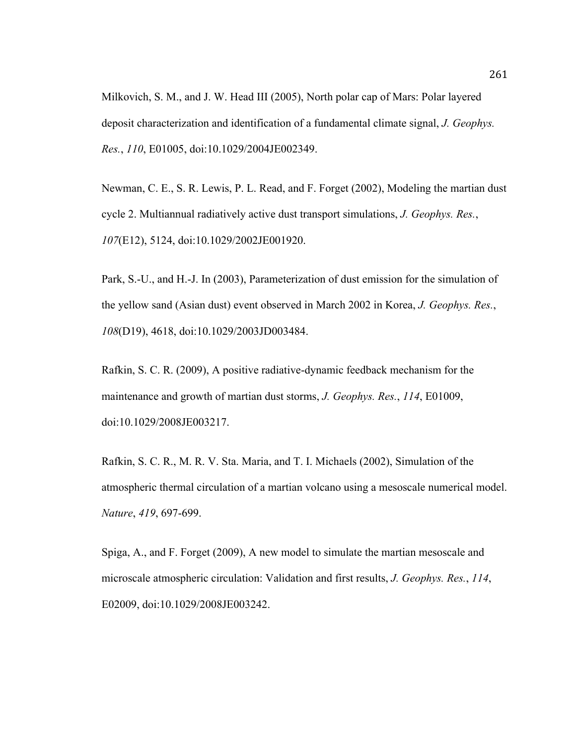Milkovich, S. M., and J. W. Head III (2005), North polar cap of Mars: Polar layered deposit characterization and identification of a fundamental climate signal, *J. Geophys. Res.*, *110*, E01005, doi:10.1029/2004JE002349.

Newman, C. E., S. R. Lewis, P. L. Read, and F. Forget (2002), Modeling the martian dust cycle 2. Multiannual radiatively active dust transport simulations, *J. Geophys. Res.*, *107*(E12), 5124, doi:10.1029/2002JE001920.

Park, S.-U., and H.-J. In (2003), Parameterization of dust emission for the simulation of the yellow sand (Asian dust) event observed in March 2002 in Korea, *J. Geophys. Res.*, *108*(D19), 4618, doi:10.1029/2003JD003484.

Rafkin, S. C. R. (2009), A positive radiative-dynamic feedback mechanism for the maintenance and growth of martian dust storms, *J. Geophys. Res.*, *114*, E01009, doi:10.1029/2008JE003217.

Rafkin, S. C. R., M. R. V. Sta. Maria, and T. I. Michaels (2002), Simulation of the atmospheric thermal circulation of a martian volcano using a mesoscale numerical model. *Nature*, *419*, 697-699.

Spiga, A., and F. Forget (2009), A new model to simulate the martian mesoscale and microscale atmospheric circulation: Validation and first results, *J. Geophys. Res.*, *114*, E02009, doi:10.1029/2008JE003242.